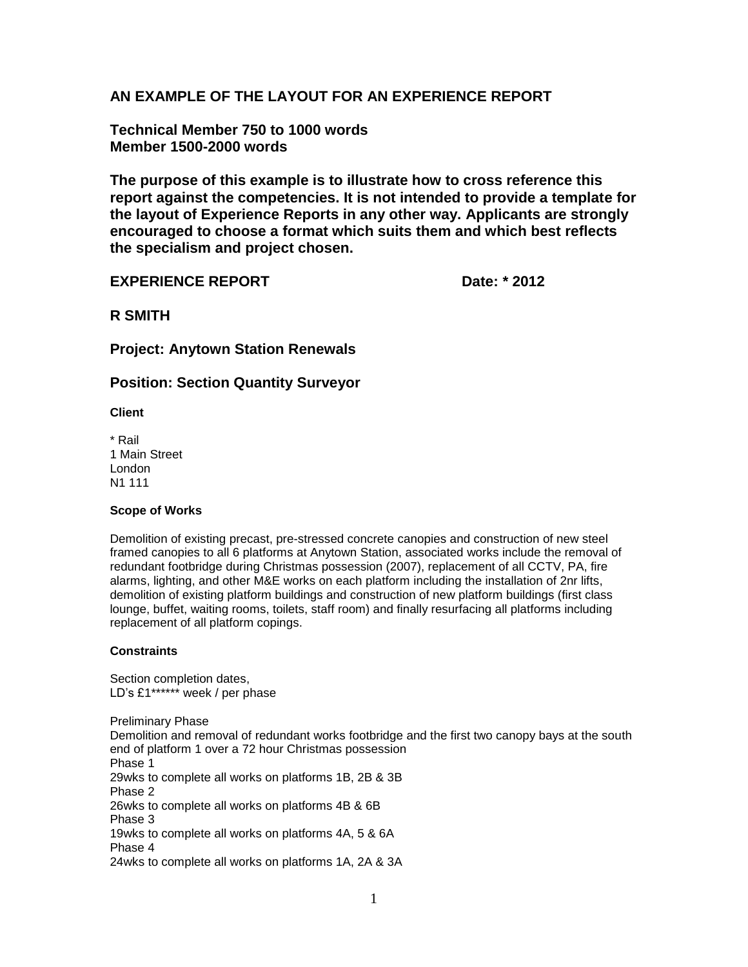# **AN EXAMPLE OF THE LAYOUT FOR AN EXPERIENCE REPORT**

**Technical Member 750 to 1000 words Member 1500-2000 words**

**The purpose of this example is to illustrate how to cross reference this report against the competencies. It is not intended to provide a template for the layout of Experience Reports in any other way. Applicants are strongly encouraged to choose a format which suits them and which best reflects the specialism and project chosen.**

# **EXPERIENCE REPORT** Date: \* 2012

**R SMITH**

**Project: Anytown Station Renewals**

# **Position: Section Quantity Surveyor**

**Client**

\* Rail 1 Main Street London N1 111

### **Scope of Works**

Demolition of existing precast, pre-stressed concrete canopies and construction of new steel framed canopies to all 6 platforms at Anytown Station, associated works include the removal of redundant footbridge during Christmas possession (2007), replacement of all CCTV, PA, fire alarms, lighting, and other M&E works on each platform including the installation of 2nr lifts, demolition of existing platform buildings and construction of new platform buildings (first class lounge, buffet, waiting rooms, toilets, staff room) and finally resurfacing all platforms including replacement of all platform copings.

## **Constraints**

Section completion dates, LD's £1\*\*\*\*\*\* week / per phase

Preliminary Phase Demolition and removal of redundant works footbridge and the first two canopy bays at the south end of platform 1 over a 72 hour Christmas possession Phase 1 29wks to complete all works on platforms 1B, 2B & 3B Phase 2 26wks to complete all works on platforms 4B & 6B Phase 3 19wks to complete all works on platforms 4A, 5 & 6A Phase 4 24wks to complete all works on platforms 1A, 2A & 3A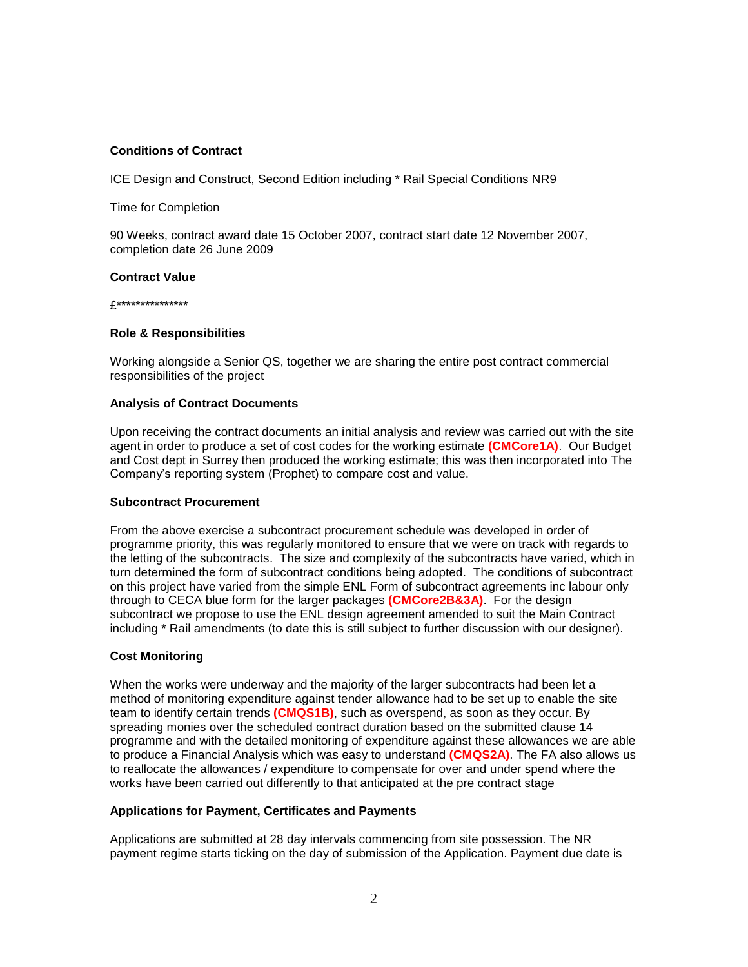### **Conditions of Contract**

ICE Design and Construct, Second Edition including \* Rail Special Conditions NR9

Time for Completion

90 Weeks, contract award date 15 October 2007, contract start date 12 November 2007, completion date 26 June 2009

#### **Contract Value**

£\*\*\*\*\*\*\*\*\*\*\*\*\*\*\*

#### **Role & Responsibilities**

Working alongside a Senior QS, together we are sharing the entire post contract commercial responsibilities of the project

#### **Analysis of Contract Documents**

Upon receiving the contract documents an initial analysis and review was carried out with the site agent in order to produce a set of cost codes for the working estimate **(CMCore1A)**. Our Budget and Cost dept in Surrey then produced the working estimate; this was then incorporated into The Company's reporting system (Prophet) to compare cost and value.

#### **Subcontract Procurement**

From the above exercise a subcontract procurement schedule was developed in order of programme priority, this was regularly monitored to ensure that we were on track with regards to the letting of the subcontracts. The size and complexity of the subcontracts have varied, which in turn determined the form of subcontract conditions being adopted. The conditions of subcontract on this project have varied from the simple ENL Form of subcontract agreements inc labour only through to CECA blue form for the larger packages **(CMCore2B&3A)**. For the design subcontract we propose to use the ENL design agreement amended to suit the Main Contract including \* Rail amendments (to date this is still subject to further discussion with our designer).

#### **Cost Monitoring**

When the works were underway and the majority of the larger subcontracts had been let a method of monitoring expenditure against tender allowance had to be set up to enable the site team to identify certain trends **(CMQS1B)**, such as overspend, as soon as they occur. By spreading monies over the scheduled contract duration based on the submitted clause 14 programme and with the detailed monitoring of expenditure against these allowances we are able to produce a Financial Analysis which was easy to understand **(CMQS2A)**. The FA also allows us to reallocate the allowances / expenditure to compensate for over and under spend where the works have been carried out differently to that anticipated at the pre contract stage

#### **Applications for Payment, Certificates and Payments**

Applications are submitted at 28 day intervals commencing from site possession. The NR payment regime starts ticking on the day of submission of the Application. Payment due date is